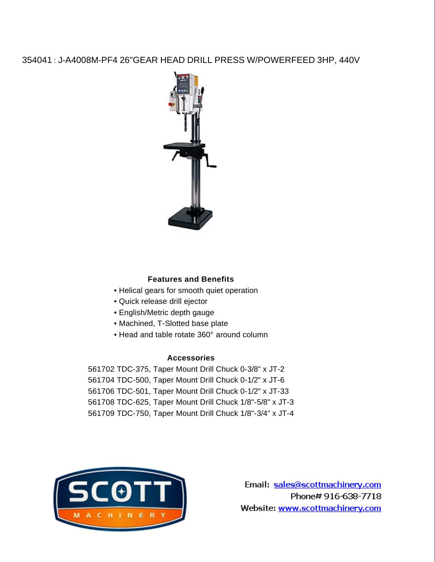## 354041 : J-A4008M-PF4 26"GEAR HEAD DRILL PRESS W/POWERFEED 3HP, 440V



## **Features and Benefits**

- Helical gears for smooth quiet operation
- Quick release drill ejector
- English/Metric depth gauge
- Machined, T-Slotted base plate
- Head and table rotate 360° around column

## **Accessories**

 TDC-375, Taper Mount Drill Chuck 0-3/8" x JT-2 TDC-500, Taper Mount Drill Chuck 0-1/2" x JT-6 TDC-501, Taper Mount Drill Chuck 0-1/2" x JT-33 TDC-625, Taper Mount Drill Chuck 1/8"-5/8" x JT-3 TDC-750, Taper Mount Drill Chuck 1/8"-3/4" x JT-4



Email: sales@scottmachinery.com Phone#916-638-7718 Website: www.scottmachinery.com